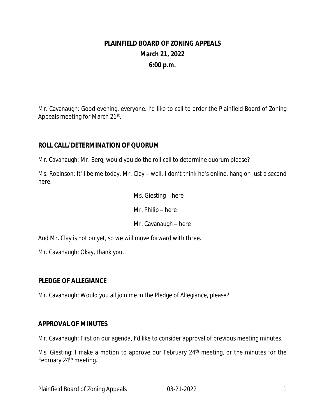# **PLAINFIELD BOARD OF ZONING APPEALS March 21, 2022 6:00 p.m.**

Mr. Cavanaugh: Good evening, everyone. I'd like to call to order the Plainfield Board of Zoning Appeals meeting for March 21st.

# **ROLL CALL/DETERMINATION OF QUORUM**

Mr. Cavanaugh: Mr. Berg, would you do the roll call to determine quorum please?

Ms. Robinson: It'll be me today. Mr. Clay – well, I don't think he's online, hang on just a second here.

> Ms. Giesting – here Mr. Philip – here Mr. Cavanaugh – here

And Mr. Clay is not on yet, so we will move forward with three.

Mr. Cavanaugh: Okay, thank you.

#### **PLEDGE OF ALLEGIANCE**

Mr. Cavanaugh: Would you all join me in the Pledge of Allegiance, please?

#### **APPROVAL OF MINUTES**

Mr. Cavanaugh: First on our agenda, I'd like to consider approval of previous meeting minutes.

Ms. Giesting: I make a motion to approve our February 24<sup>th</sup> meeting, or the minutes for the February 24<sup>th</sup> meeting.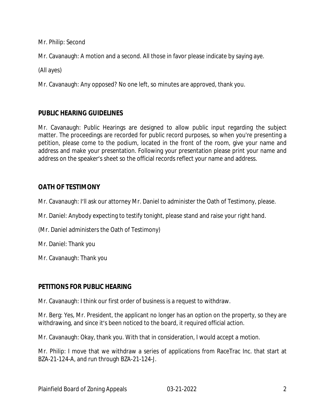Mr. Philip: Second

Mr. Cavanaugh: A motion and a second. All those in favor please indicate by saying aye.

(All ayes)

Mr. Cavanaugh: Any opposed? No one left, so minutes are approved, thank you.

# **PUBLIC HEARING GUIDELINES**

Mr. Cavanaugh: Public Hearings are designed to allow public input regarding the subject matter. The proceedings are recorded for public record purposes, so when you're presenting a petition, please come to the podium, located in the front of the room, give your name and address and make your presentation. Following your presentation please print your name and address on the speaker's sheet so the official records reflect your name and address.

# **OATH OF TESTIMONY**

Mr. Cavanaugh: I'll ask our attorney Mr. Daniel to administer the Oath of Testimony, please.

Mr. Daniel: Anybody expecting to testify tonight, please stand and raise your right hand.

(Mr. Daniel administers the Oath of Testimony)

Mr. Daniel: Thank you

Mr. Cavanaugh: Thank you

# **PETITIONS FOR PUBLIC HEARING**

Mr. Cavanaugh: I think our first order of business is a request to withdraw.

Mr. Berg: Yes, Mr. President, the applicant no longer has an option on the property, so they are withdrawing, and since it's been noticed to the board, it required official action.

Mr. Cavanaugh: Okay, thank you. With that in consideration, I would accept a motion.

Mr. Philip: I move that we withdraw a series of applications from RaceTrac Inc. that start at BZA-21-124-A, and run through BZA-21-124-J.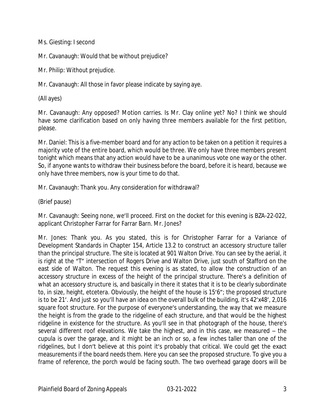Ms. Giesting: I second

Mr. Cavanaugh: Would that be without prejudice?

Mr. Philip: Without prejudice.

Mr. Cavanaugh: All those in favor please indicate by saying aye.

(All ayes)

Mr. Cavanaugh: Any opposed? Motion carries. Is Mr. Clay online yet? No? I think we should have some clarification based on only having three members available for the first petition, please.

Mr. Daniel: This is a five-member board and for any action to be taken on a petition it requires a majority vote of the entire board, which would be three. We only have three members present tonight which means that any action would have to be a unanimous vote one way or the other. So, if anyone wants to withdraw their business before the board, before it is heard, because we only have three members, now is your time to do that.

Mr. Cavanaugh: Thank you. Any consideration for withdrawal?

(Brief pause)

Mr. Cavanaugh: Seeing none, we'll proceed. First on the docket for this evening is BZA-22-022, applicant Christopher Farrar for Farrar Barn. Mr. Jones?

Mr. Jones: Thank you. As you stated, this is for Christopher Farrar for a Variance of Development Standards in Chapter 154, Article 13.2 to construct an accessory structure taller than the principal structure. The site is located at 901 Walton Drive. You can see by the aerial, it is right at the "T" intersection of Rogers Drive and Walton Drive, just south of Stafford on the east side of Walton. The request this evening is as stated, to allow the construction of an accessory structure in excess of the height of the principal structure. There's a definition of what an accessory structure is, and basically in there it states that it is to be clearly subordinate to, in size, height, etcetera. Obviously, the height of the house is 15'6"; the proposed structure is to be 21'. And just so you'll have an idea on the overall bulk of the building, it's 42'x48', 2,016 square foot structure. For the purpose of everyone's understanding, the way that we measure the height is from the grade to the ridgeline of each structure, and that would be the highest ridgeline in existence for the structure. As you'll see in that photograph of the house, there's several different roof elevations. We take the highest, and in this case, we measured – the cupula is over the garage, and it might be an inch or so, a few inches taller than one of the ridgelines, but I don't believe at this point it's probably that critical. We could get the exact measurements if the board needs them. Here you can see the proposed structure. To give you a frame of reference, the porch would be facing south. The two overhead garage doors will be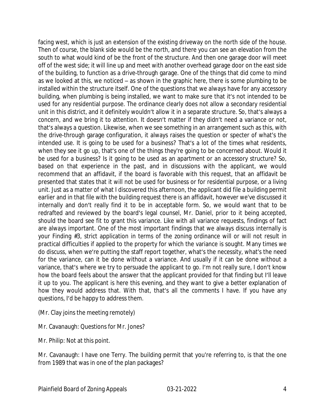facing west, which is just an extension of the existing driveway on the north side of the house. Then of course, the blank side would be the north, and there you can see an elevation from the south to what would kind of be the front of the structure. And then one garage door will meet off of the west side; it will line up and meet with another overhead garage door on the east side of the building, to function as a drive-through garage. One of the things that did come to mind as we looked at this, we noticed – as shown in the graphic here, there is some plumbing to be installed within the structure itself. One of the questions that we always have for any accessory building, when plumbing is being installed, we want to make sure that it's not intended to be used for any residential purpose. The ordinance clearly does not allow a secondary residential unit in this district, and it definitely wouldn't allow it in a separate structure. So, that's always a concern, and we bring it to attention. It doesn't matter if they didn't need a variance or not, that's always a question. Likewise, when we see something in an arrangement such as this, with the drive-through garage configuration, it always raises the question or specter of what's the intended use. It is going to be used for a business? That's a lot of the times what residents, when they see it go up, that's one of the things they're going to be concerned about. Would it be used for a business? Is it going to be used as an apartment or an accessory structure? So, based on that experience in the past, and in discussions with the applicant, we would recommend that an affidavit, if the board is favorable with this request, that an affidavit be presented that states that it will not be used for business or for residential purpose, or a living unit. Just as a matter of what I discovered this afternoon, the applicant did file a building permit earlier and in that file with the building request there is an affidavit, however we've discussed it internally and don't really find it to be in acceptable form. So, we would want that to be redrafted and reviewed by the board's legal counsel, Mr. Daniel, prior to it being accepted, should the board see fit to grant this variance. Like with all variance requests, findings of fact are always important. One of the most important findings that we always discuss internally is your Finding #3, strict application in terms of the zoning ordinance will or will not result in practical difficulties if applied to the property for which the variance is sought. Many times we do discuss, when we're putting the staff report together, what's the necessity, what's the need for the variance, can it be done without a variance. And usually if it can be done without a variance, that's where we try to persuade the applicant to go. I'm not really sure, I don't know how the board feels about the answer that the applicant provided for that finding but I'll leave it up to you. The applicant is here this evening, and they want to give a better explanation of how they would address that. With that, that's all the comments I have. If you have any questions, I'd be happy to address them.

(Mr. Clay joins the meeting remotely)

Mr. Cavanaugh: Questions for Mr. Jones?

Mr. Philip: Not at this point.

Mr. Cavanaugh: I have one Terry. The building permit that you're referring to, is that the one from 1989 that was in one of the plan packages?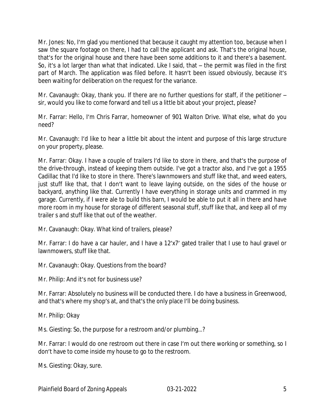Mr. Jones: No, I'm glad you mentioned that because it caught my attention too, because when I saw the square footage on there, I had to call the applicant and ask. That's the original house, that's for the original house and there have been some additions to it and there's a basement. So, it's a lot larger than what that indicated. Like I said, that – the permit was filed in the first part of March. The application was filed before. It hasn't been issued obviously, because it's been waiting for deliberation on the request for the variance.

Mr. Cavanaugh: Okay, thank you. If there are no further questions for staff, if the petitioner – sir, would you like to come forward and tell us a little bit about your project, please?

Mr. Farrar: Hello, I'm Chris Farrar, homeowner of 901 Walton Drive. What else, what do you need?

Mr. Cavanaugh: I'd like to hear a little bit about the intent and purpose of this large structure on your property, please.

Mr. Farrar: Okay. I have a couple of trailers I'd like to store in there, and that's the purpose of the drive-through, instead of keeping them outside. I've got a tractor also, and I've got a 1955 Cadillac that I'd like to store in there. There's lawnmowers and stuff like that, and weed eaters, just stuff like that, that I don't want to leave laying outside, on the sides of the house or backyard, anything like that. Currently I have everything in storage units and crammed in my garage. Currently, if I were ale to build this barn, I would be able to put it all in there and have more room in my house for storage of different seasonal stuff, stuff like that, and keep all of my trailer s and stuff like that out of the weather.

Mr. Cavanaugh: Okay. What kind of trailers, please?

Mr. Farrar: I do have a car hauler, and I have a 12'x7' gated trailer that I use to haul gravel or lawnmowers, stuff like that.

Mr. Cavanaugh: Okay. Questions from the board?

Mr. Philip: And it's not for business use?

Mr. Farrar: Absolutely no business will be conducted there. I do have a business in Greenwood, and that's where my shop's at, and that's the only place I'll be doing business.

Mr. Philip: Okay

Ms. Giesting: So, the purpose for a restroom and/or plumbing…?

Mr. Farrar: I would do one restroom out there in case I'm out there working or something, so I don't have to come inside my house to go to the restroom.

Ms. Giesting: Okay, sure.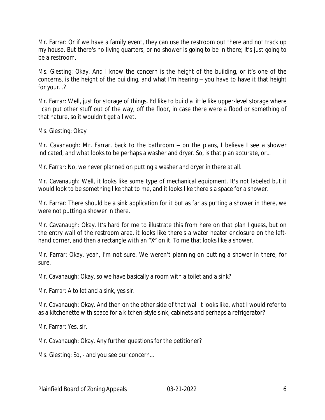Mr. Farrar: Or if we have a family event, they can use the restroom out there and not track up my house. But there's no living quarters, or no shower is going to be in there; it's just going to be a restroom.

Ms. Giesting: Okay. And I know the concern is the height of the building, or it's one of the concerns, is the height of the building, and what I'm hearing – you have to have it that height for your…?

Mr. Farrar: Well, just for storage of things. I'd like to build a little like upper-level storage where I can put other stuff out of the way, off the floor, in case there were a flood or something of that nature, so it wouldn't get all wet.

Ms. Giesting: Okay

Mr. Cavanaugh: Mr. Farrar, back to the bathroom – on the plans, I believe I see a shower indicated, and what looks to be perhaps a washer and dryer. So, is that plan accurate, or…

Mr. Farrar: No, we never planned on putting a washer and dryer in there at all.

Mr. Cavanaugh: Well, it looks like some type of mechanical equipment. It's not labeled but it would look to be something like that to me, and it looks like there's a space for a shower.

Mr. Farrar: There should be a sink application for it but as far as putting a shower in there, we were not putting a shower in there.

Mr. Cavanaugh: Okay. It's hard for me to illustrate this from here on that plan I guess, but on the entry wall of the restroom area, it looks like there's a water heater enclosure on the lefthand corner, and then a rectangle with an "X" on it. To me that looks like a shower.

Mr. Farrar: Okay, yeah, I'm not sure. We weren't planning on putting a shower in there, for sure.

Mr. Cavanaugh: Okay, so we have basically a room with a toilet and a sink?

Mr. Farrar: A toilet and a sink, yes sir.

Mr. Cavanaugh: Okay. And then on the other side of that wall it looks like, what I would refer to as a kitchenette with space for a kitchen-style sink, cabinets and perhaps a refrigerator?

Mr. Farrar: Yes, sir.

Mr. Cavanaugh: Okay. Any further questions for the petitioner?

Ms. Giesting: So, - and you see our concern…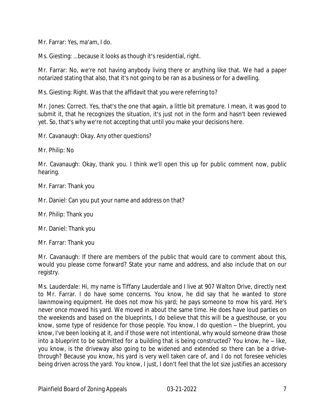Mr. Farrar: Yes, ma'am, I do.

Ms. Giesting: …because it looks as though it's residential, right.

Mr. Farrar: No, we're not having anybody living there or anything like that. We had a paper notarized stating that also, that it's not going to be ran as a business or for a dwelling.

Ms. Giesting: Right. Was that the affidavit that you were referring to?

Mr. Jones: Correct. Yes, that's the one that again, a little bit premature. I mean, it was good to submit it, that he recognizes the situation, it's just not in the form and hasn't been reviewed yet. So, that's why we're not accepting that until you make your decisions here.

Mr. Cavanaugh: Okay. Any other questions?

Mr. Philip: No

Mr. Cavanaugh: Okay, thank you. I think we'll open this up for public comment now, public hearing.

Mr. Farrar: Thank you

Mr. Daniel: Can you put your name and address on that?

Mr. Philip: Thank you

Mr. Daniel: Thank you

Mr. Farrar: Thank you

Mr. Cavanaugh: If there are members of the public that would care to comment about this, would you please come forward? State your name and address, and also include that on our registry.

Ms. Lauderdale: Hi, my name is Tiffany Lauderdale and I live at 907 Walton Drive, directly next to Mr. Farrar. I do have some concerns. You know, he did say that he wanted to store lawnmowing equipment. He does not mow his yard; he pays someone to mow his yard. He's never once mowed his yard. We moved in about the same time. He does have loud parties on the weekends and based on the blueprints, I do believe that this will be a guesthouse, or you know, some type of residence for those people. You know, I do question – the blueprint, you know, I've been looking at it, and if those were not intentional, why would someone draw those into a blueprint to be submitted for a building that is being constructed? You know, he – like, you know, is the driveway also going to be widened and extended so there can be a drivethrough? Because you know, his yard is very well taken care of, and I do not foresee vehicles being driven across the yard. You know, I just, I don't feel that the lot size justifies an accessory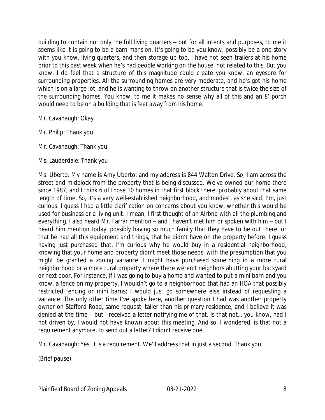building to contain not only the full living quarters – but for all intents and purposes, to me it seems like it is going to be a barn mansion. It's going to be you know, possibly be a one-story with you know, living quarters, and then storage up top. I have not seen trailers at his home prior to this past week when he's had people working on the house, not related to this. But you know, I do feel that a structure of this magnitude could create you know, an eyesore for surrounding properties. All the surrounding homes are very moderate, and he's got his home which is on a large lot, and he is wanting to throw on another structure that is twice the size of the surrounding homes. You know, to me it makes no sense why all of this and an 8' porch would need to be on a building that is feet away from his home.

Mr. Cavanaugh: Okay

Mr. Philip: Thank you

Mr. Cavanaugh: Thank you

Ms. Lauderdale: Thank you

Ms. Uberto: My name is Amy Uberto, and my address is 844 Walton Drive. So, I am across the street and midblock from the property that is being discussed. We've owned our home there since 1987, and I think 6 of those 10 homes in that first block there, probably about that same length of time. So, it's a very well-established neighborhood, and modest, as she said. I'm, just curious. I guess I had a little clarification on concerns about you know, whether this would be used for business or a living unit. I mean, I first thought of an Airbnb with all the plumbing and everything. I also heard Mr. Farrar mention – and I haven't met him or spoken with him – but I heard him mention today, possibly having so much family that they have to be out there, or that he had all this equipment and things, that he didn't have on the property before. I guess having just purchased that, I'm curious why he would buy in a residential neighborhood, knowing that your home and property didn't meet those needs, with the presumption that you might be granted a zoning variance. I might have purchased something in a more rural neighborhood or a more rural property where there weren't neighbors abutting your backyard or next door. For instance, if I was going to buy a home and wanted to put a mini barn and you know, a fence on my property, I wouldn't go to a neighborhood that had an HOA that possibly restricted fencing or mini barns; I would just go somewhere else instead of requesting a variance. The only other time I've spoke here, another question I had was another property owner on Stafford Road, same request, taller than his primary residence, and I believe it was denied at the time – but I received a letter notifying me of that. Is that not… you know, had I not driven by, I would not have known about this meeting. And so, I wondered, is that not a requirement anymore, to send out a letter? I didn't receive one.

Mr. Cavanaugh: Yes, it is a requirement. We'll address that in just a second. Thank you.

(Brief pause)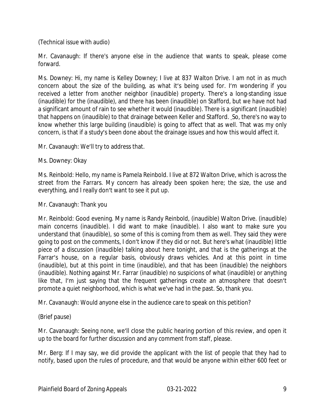(Technical issue with audio)

Mr. Cavanaugh: If there's anyone else in the audience that wants to speak, please come forward.

Ms. Downey: Hi, my name is Kelley Downey; I live at 837 Walton Drive. I am not in as much concern about the size of the building, as what it's being used for. I'm wondering if you received a letter from another neighbor (inaudible) property. There's a long-standing issue (inaudible) for the (inaudible), and there has been (inaudible) on Stafford, but we have not had a significant amount of rain to see whether it would (inaudible). There is a significant (inaudible) that happens on (inaudible) to that drainage between Keller and Stafford. So, there's no way to know whether this large building (inaudible) is going to affect that as well. That was my only concern, is that if a study's been done about the drainage issues and how this would affect it.

Mr. Cavanaugh: We'll try to address that.

#### Ms. Downey: Okay

Ms. Reinbold: Hello, my name is Pamela Reinbold. I live at 872 Walton Drive, which is across the street from the Farrars. My concern has already been spoken here; the size, the use and everything, and I really don't want to see it put up.

#### Mr. Cavanaugh: Thank you

Mr. Reinbold: Good evening. My name is Randy Reinbold, (inaudible) Walton Drive. (inaudible) main concerns (inaudible). I did want to make (inaudible). I also want to make sure you understand that (inaudible), so some of this is coming from them as well. They said they were going to post on the comments, I don't know if they did or not. But here's what (inaudible) little piece of a discussion (inaudible) talking about here tonight, and that is the gatherings at the Farrar's house, on a regular basis, obviously draws vehicles. And at this point in time (inaudible), but at this point in time (inaudible), and that has been (inaudible) the neighbors (inaudible). Nothing against Mr. Farrar (inaudible) no suspicions of what (inaudible) or anything like that, I'm just saying that the frequent gatherings create an atmosphere that doesn't promote a quiet neighborhood, which is what we've had in the past. So, thank you.

Mr. Cavanaugh: Would anyone else in the audience care to speak on this petition?

(Brief pause)

Mr. Cavanaugh: Seeing none, we'll close the public hearing portion of this review, and open it up to the board for further discussion and any comment from staff, please.

Mr. Berg: If I may say, we did provide the applicant with the list of people that they had to notify, based upon the rules of procedure, and that would be anyone within either 600 feet or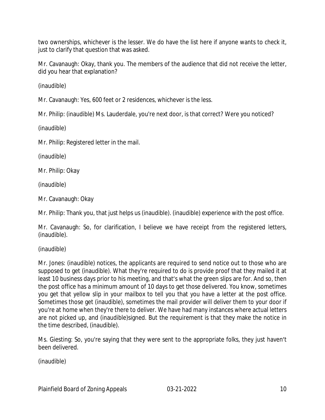two ownerships, whichever is the lesser. We do have the list here if anyone wants to check it, just to clarify that question that was asked.

Mr. Cavanaugh: Okay, thank you. The members of the audience that did not receive the letter, did you hear that explanation?

(inaudible)

Mr. Cavanaugh: Yes, 600 feet or 2 residences, whichever is the less.

Mr. Philip: (inaudible) Ms. Lauderdale, you're next door, is that correct? Were you noticed?

(inaudible)

Mr. Philip: Registered letter in the mail.

(inaudible)

Mr. Philip: Okay

(inaudible)

Mr. Cavanaugh: Okay

Mr. Philip: Thank you, that just helps us (inaudible). (inaudible) experience with the post office.

Mr. Cavanaugh: So, for clarification, I believe we have receipt from the registered letters, (inaudible).

(inaudible)

Mr. Jones: (inaudible) notices, the applicants are required to send notice out to those who are supposed to get (inaudible). What they're required to do is provide proof that they mailed it at least 10 business days prior to his meeting, and that's what the green slips are for. And so, then the post office has a minimum amount of 10 days to get those delivered. You know, sometimes you get that yellow slip in your mailbox to tell you that you have a letter at the post office. Sometimes those get (inaudible), sometimes the mail provider will deliver them to your door if you're at home when they're there to deliver. We have had many instances where actual letters are not picked up, and (inaudible)signed. But the requirement is that they make the notice in the time described, (inaudible).

Ms. Giesting: So, you're saying that they were sent to the appropriate folks, they just haven't been delivered.

(inaudible)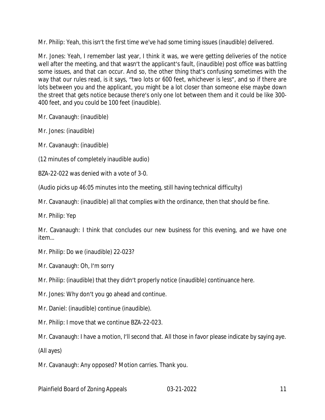Mr. Philip: Yeah, this isn't the first time we've had some timing issues (inaudible) delivered.

Mr. Jones: Yeah, I remember last year, I think it was, we were getting deliveries of the notice well after the meeting, and that wasn't the applicant's fault, (inaudible) post office was battling some issues, and that can occur. And so, the other thing that's confusing sometimes with the way that our rules read, is it says, "two lots or 600 feet, whichever is less", and so if there are lots between you and the applicant, you might be a lot closer than someone else maybe down the street that gets notice because there's only one lot between them and it could be like 300- 400 feet, and you could be 100 feet (inaudible).

Mr. Cavanaugh: (inaudible)

Mr. Jones: (inaudible)

Mr. Cavanaugh: (inaudible)

(12 minutes of completely inaudible audio)

BZA-22-022 was denied with a vote of 3-0.

(Audio picks up 46:05 minutes into the meeting, still having technical difficulty)

Mr. Cavanaugh: (inaudible) all that complies with the ordinance, then that should be fine.

Mr. Philip: Yep

Mr. Cavanaugh: I think that concludes our new business for this evening, and we have one item…

Mr. Philip: Do we (inaudible) 22-023?

Mr. Cavanaugh: Oh, I'm sorry

Mr. Philip: (inaudible) that they didn't properly notice (inaudible) continuance here.

Mr. Jones: Why don't you go ahead and continue.

Mr. Daniel: (inaudible) continue (inaudible).

Mr. Philip: I move that we continue BZA-22-023.

Mr. Cavanaugh: I have a motion, I'll second that. All those in favor please indicate by saying aye.

(All ayes)

Mr. Cavanaugh: Any opposed? Motion carries. Thank you.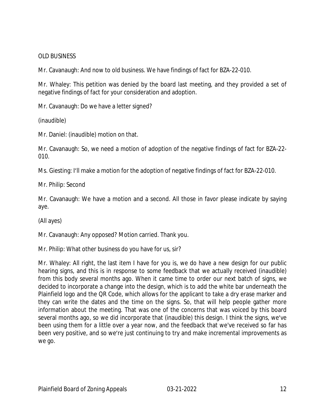#### OLD BUSINESS

Mr. Cavanaugh: And now to old business. We have findings of fact for BZA-22-010.

Mr. Whaley: This petition was denied by the board last meeting, and they provided a set of negative findings of fact for your consideration and adoption.

Mr. Cavanaugh: Do we have a letter signed?

(inaudible)

Mr. Daniel: (inaudible) motion on that.

Mr. Cavanaugh: So, we need a motion of adoption of the negative findings of fact for BZA-22- 010.

Ms. Giesting: I'll make a motion for the adoption of negative findings of fact for BZA-22-010.

Mr. Philip: Second

Mr. Cavanaugh: We have a motion and a second. All those in favor please indicate by saying aye.

(All ayes)

Mr. Cavanaugh: Any opposed? Motion carried. Thank you.

Mr. Philip: What other business do you have for us, sir?

Mr. Whaley: All right, the last item I have for you is, we do have a new design for our public hearing signs, and this is in response to some feedback that we actually received (inaudible) from this body several months ago. When it came time to order our next batch of signs, we decided to incorporate a change into the design, which is to add the white bar underneath the Plainfield logo and the QR Code, which allows for the applicant to take a dry erase marker and they can write the dates and the time on the signs. So, that will help people gather more information about the meeting. That was one of the concerns that was voiced by this board several months ago, so we did incorporate that (inaudible) this design. I think the signs, we've been using them for a little over a year now, and the feedback that we've received so far has been very positive, and so we're just continuing to try and make incremental improvements as we go.